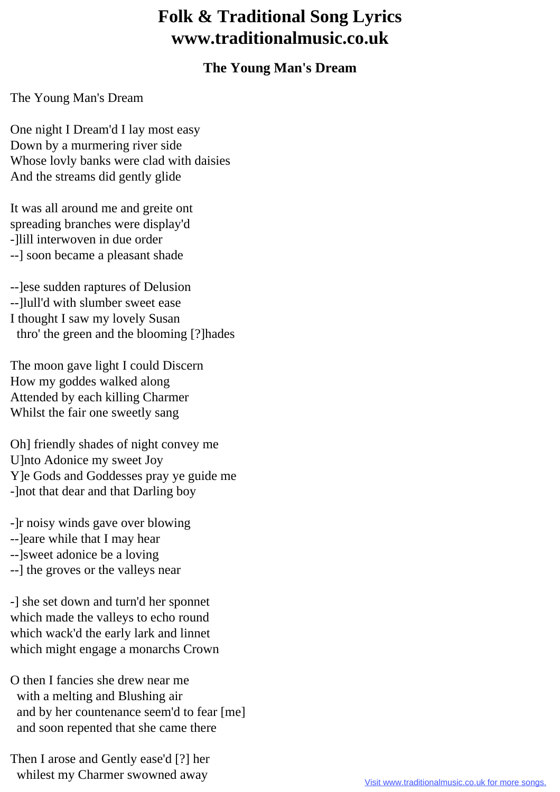## **Folk & Traditional Song Lyrics www.traditionalmusic.co.uk**

## **The Young Man's Dream**

The Young Man's Dream

One night I Dream'd I lay most easy Down by a murmering river side Whose lovly banks were clad with daisies And the streams did gently glide

It was all around me and greite ont spreading branches were display'd -]lill interwoven in due order --] soon became a pleasant shade

--]ese sudden raptures of Delusion --]lull'd with slumber sweet ease I thought I saw my lovely Susan thro' the green and the blooming [?]hades

The moon gave light I could Discern How my goddes walked along Attended by each killing Charmer Whilst the fair one sweetly sang

Oh] friendly shades of night convey me U]nto Adonice my sweet Joy Y]e Gods and Goddesses pray ye guide me -]not that dear and that Darling boy

-]r noisy winds gave over blowing

- --]eare while that I may hear
- --]sweet adonice be a loving
- --] the groves or the valleys near

-] she set down and turn'd her sponnet which made the valleys to echo round which wack'd the early lark and linnet which might engage a monarchs Crown

O then I fancies she drew near me with a melting and Blushing air and by her countenance seem'd to fear [me] and soon repented that she came there

Then I arose and Gently ease'd [?] her whilest my Charmer swowned away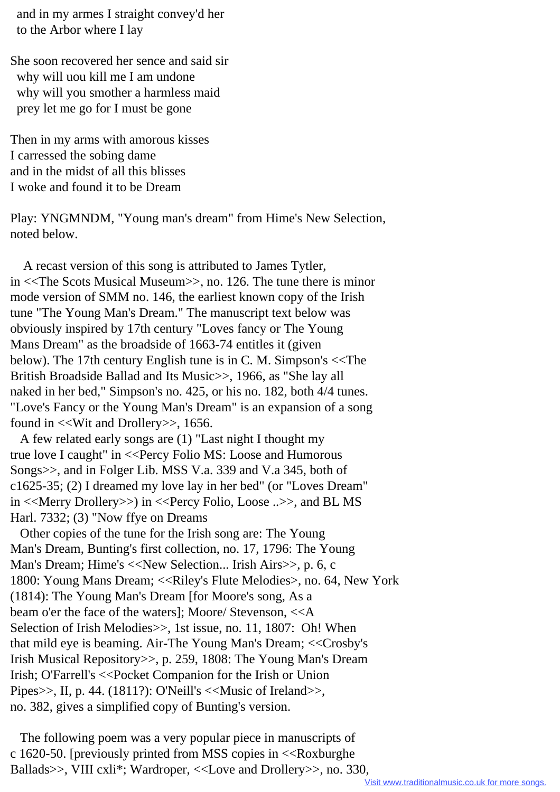and in my armes I straight convey'd her to the Arbor where I lay

She soon recovered her sence and said sir why will uou kill me I am undone why will you smother a harmless maid prey let me go for I must be gone

Then in my arms with amorous kisses I carressed the sobing dame and in the midst of all this blisses I woke and found it to be Dream

Play: YNGMNDM, "Young man's dream" from Hime's New Selection, noted below.

 A recast version of this song is attributed to James Tytler, in <<The Scots Musical Museum>>, no. 126. The tune there is minor mode version of SMM no. 146, the earliest known copy of the Irish tune "The Young Man's Dream." The manuscript text below was obviously inspired by 17th century "Loves fancy or The Young Mans Dream" as the broadside of 1663-74 entitles it (given below). The 17th century English tune is in C. M. Simpson's <<The British Broadside Ballad and Its Music>>, 1966, as "She lay all naked in her bed," Simpson's no. 425, or his no. 182, both 4/4 tunes. "Love's Fancy or the Young Man's Dream" is an expansion of a song found in <<Wit and Drollery>>, 1656.

 A few related early songs are (1) "Last night I thought my true love I caught" in <<Percy Folio MS: Loose and Humorous Songs>>, and in Folger Lib. MSS V.a. 339 and V.a 345, both of c1625-35; (2) I dreamed my love lay in her bed" (or "Loves Dream" in <<Merry Drollery>>) in <<Percy Folio, Loose ..>>, and BL MS Harl. 7332; (3) "Now ffye on Dreams

 Other copies of the tune for the Irish song are: The Young Man's Dream, Bunting's first collection, no. 17, 1796: The Young Man's Dream; Hime's <<New Selection... Irish Airs>>, p. 6, c 1800: Young Mans Dream; <<Riley's Flute Melodies>, no. 64, New York (1814): The Young Man's Dream [for Moore's song, As a beam o'er the face of the waters]; Moore/ Stevenson, <<A Selection of Irish Melodies >>, 1st issue, no. 11, 1807: Oh! When that mild eye is beaming. Air-The Young Man's Dream; <<Crosby's Irish Musical Repository>>, p. 259, 1808: The Young Man's Dream Irish; O'Farrell's <<Pocket Companion for the Irish or Union Pipes $\gg$ , II, p. 44. (1811?): O'Neill's <<Music of Ireland $\gg$ , no. 382, gives a simplified copy of Bunting's version.

 The following poem was a very popular piece in manuscripts of c 1620-50. [previously printed from MSS copies in <<Roxburghe Ballads>>, VIII cxli\*; Wardroper, <<Love and Drollery>>, no. 330,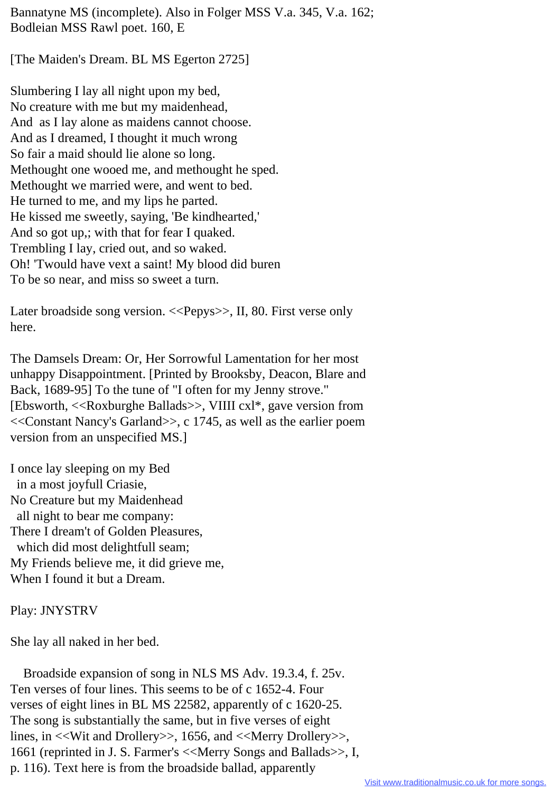Bannatyne MS (incomplete). Also in Folger MSS V.a. 345, V.a. 162; Bodleian MSS Rawl poet. 160, E

[The Maiden's Dream. BL MS Egerton 2725]

Slumbering I lay all night upon my bed, No creature with me but my maidenhead, And as I lay alone as maidens cannot choose. And as I dreamed, I thought it much wrong So fair a maid should lie alone so long. Methought one wooed me, and methought he sped. Methought we married were, and went to bed. He turned to me, and my lips he parted. He kissed me sweetly, saying, 'Be kindhearted,' And so got up,; with that for fear I quaked. Trembling I lay, cried out, and so waked. Oh! 'Twould have vext a saint! My blood did buren To be so near, and miss so sweet a turn.

Later broadside song version. <<Pepys>>, II, 80. First verse only here.

The Damsels Dream: Or, Her Sorrowful Lamentation for her most unhappy Disappointment. [Printed by Brooksby, Deacon, Blare and Back, 1689-95] To the tune of "I often for my Jenny strove." [Ebsworth, <<Roxburghe Ballads>>, VIIII cxl\*, gave version from <<Constant Nancy's Garland>>, c 1745, as well as the earlier poem version from an unspecified MS.]

I once lay sleeping on my Bed in a most joyfull Criasie, No Creature but my Maidenhead all night to bear me company: There I dream't of Golden Pleasures, which did most delightfull seam; My Friends believe me, it did grieve me, When I found it but a Dream.

Play: JNYSTRV

She lay all naked in her bed.

 Broadside expansion of song in NLS MS Adv. 19.3.4, f. 25v. Ten verses of four lines. This seems to be of c 1652-4. Four verses of eight lines in BL MS 22582, apparently of c 1620-25. The song is substantially the same, but in five verses of eight lines, in <<Wit and Drollery>>, 1656, and <<Merry Drollery>>, 1661 (reprinted in J. S. Farmer's <<Merry Songs and Ballads>>, I, p. 116). Text here is from the broadside ballad, apparently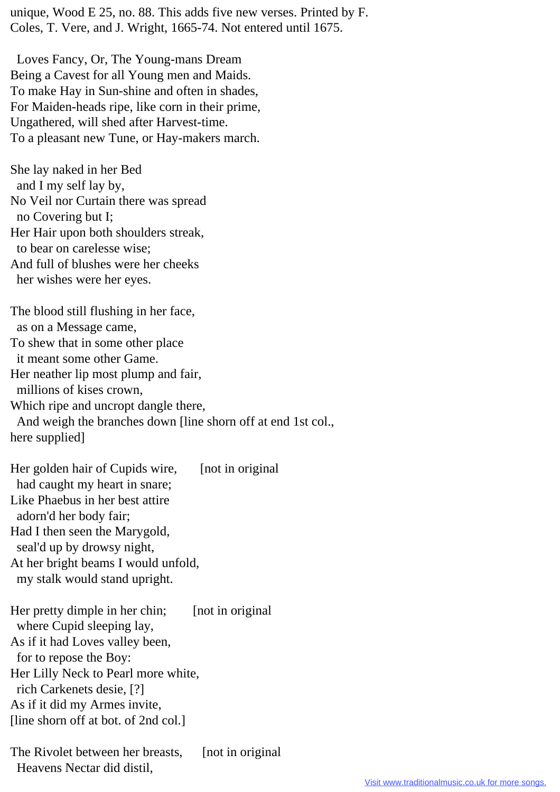unique, Wood E 25, no. 88. This adds five new verses. Printed by F. Coles, T. Vere, and J. Wright, 1665-74. Not entered until 1675.

 Loves Fancy, Or, The Young-mans Dream Being a Cavest for all Young men and Maids. To make Hay in Sun-shine and often in shades, For Maiden-heads ripe, like corn in their prime, Ungathered, will shed after Harvest-time. To a pleasant new Tune, or Hay-makers march.

She lay naked in her Bed and I my self lay by, No Veil nor Curtain there was spread no Covering but I; Her Hair upon both shoulders streak, to bear on carelesse wise; And full of blushes were her cheeks her wishes were her eyes.

The blood still flushing in her face, as on a Message came, To shew that in some other place it meant some other Game. Her neather lip most plump and fair, millions of kises crown, Which ripe and uncropt dangle there, And weigh the branches down [line shorn off at end 1st col., here supplied]

Her golden hair of Cupids wire, [not in original] had caught my heart in snare; Like Phaebus in her best attire adorn'd her body fair; Had I then seen the Marygold, seal'd up by drowsy night, At her bright beams I would unfold, my stalk would stand upright.

Her pretty dimple in her chin; [not in original] where Cupid sleeping lay, As if it had Loves valley been, for to repose the Boy: Her Lilly Neck to Pearl more white, rich Carkenets desie, [?] As if it did my Armes invite, [line shorn off at bot. of 2nd col.]

The Rivolet between her breasts, [not in original] Heavens Nectar did distil,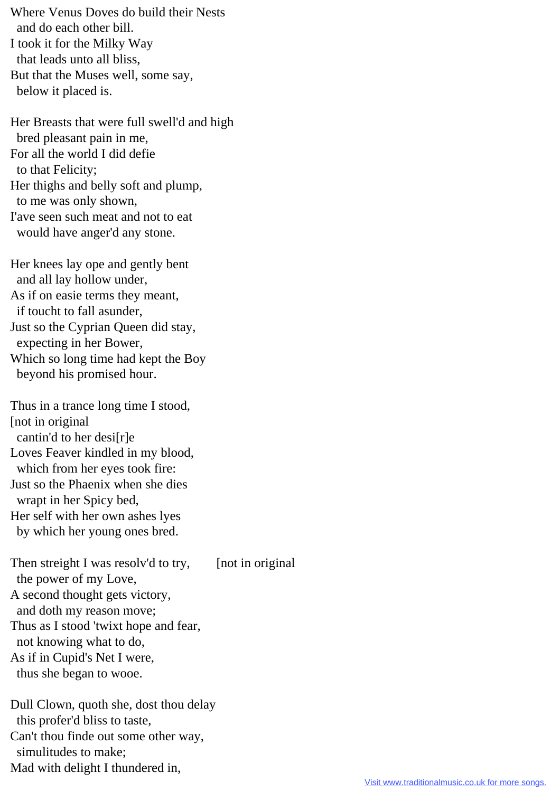Where Venus Doves do build their Nests and do each other bill. I took it for the Milky Way that leads unto all bliss, But that the Muses well, some say, below it placed is.

Her Breasts that were full swell'd and high bred pleasant pain in me, For all the world I did defie to that Felicity; Her thighs and belly soft and plump, to me was only shown, I'ave seen such meat and not to eat would have anger'd any stone.

Her knees lay ope and gently bent and all lay hollow under, As if on easie terms they meant, if toucht to fall asunder, Just so the Cyprian Queen did stay, expecting in her Bower, Which so long time had kept the Boy beyond his promised hour.

Thus in a trance long time I stood, [not in original cantin'd to her desi[r]e Loves Feaver kindled in my blood, which from her eyes took fire: Just so the Phaenix when she dies wrapt in her Spicy bed, Her self with her own ashes lyes by which her young ones bred.

Then streight I was resolv'd to try, [not in original] the power of my Love, A second thought gets victory, and doth my reason move; Thus as I stood 'twixt hope and fear, not knowing what to do, As if in Cupid's Net I were, thus she began to wooe.

Dull Clown, quoth she, dost thou delay this profer'd bliss to taste, Can't thou finde out some other way, simulitudes to make; Mad with delight I thundered in,